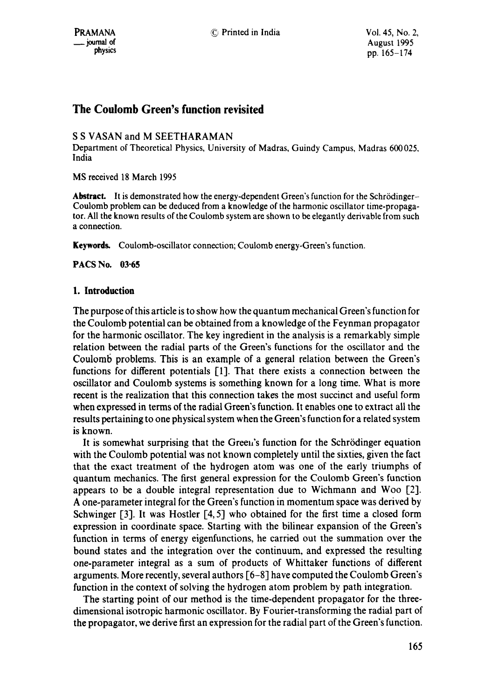# **The Coulomb Green's function revisited**

# S S VASAN and M SEETHARAMAN

Department of Theoretical Physics, University of Madras, Guindy Campus, Madras 600025, India

MS received 18 March 1995

Abstract. It is demonstrated how the energy-dependent Green's function for the Schrödinger-Coulomb problem can be deduced from a knowledge of the harmonic oscillator time-propagator. All the known results of the Coulomb system are shown to be elegantly derivable from such a connection.

**Keywords.** Coulomb-oscillator connection; Coulomb energy-Green's function.

**PACS No. 03"65** 

# **1. Introduction**

The purpose of this article is to show how the quantum mechanical Green's function for the Coulomb potential can be obtained from a knowledge of the Feynman propagator for the harmonic oscillator. The key ingredient in the analysis is a remarkably simple relation between the radial parts of the Green's functions for the oscillator and the Coulomb problems. This is an example of a general relation between the Green's functions for different potentials [1]. That there exists a connection between the oscillator and Coulomb systems is something known for a long time. What is more recent is the realization that this connection takes the most succinct and useful form when expressed in terms of the radial Green's function. It enables one to extract all the results pertaining to one physical system when the Green's function for a related system is known.

It is somewhat surprising that the Green's function for the Schrödinger equation with the Coulomb potential was not known completely until the sixties, given the fact that the exact treatment of the hydrogen atom was one of the early triumphs of quantum mechanics. The first general expression for the Coulomb Green's function appears to be a double integral representation due to Wichmann and Woo [2]. A one-parameter integral for the Green's function in momentum space was derived by Schwinger [3]. It was Hostler [4, 5] who obtained for the first time a closed form expression in coordinate space. Starting with the bilinear expansion of the Green's function in terms of energy eigenfunctions, he carried out the summation over the bound states and the integration over the continuum, and expressed the resulting one-parameter integral as a sum of products of Whittaker functions of different arguments. More recently, several authors [6-8] have computed the Coulomb Green's function in the context of solving the hydrogen atom problem by path integration.

The starting point of our method is the time-dependent propagator for the threedimensional isotropic harmonic oscillator. By Fourier-transforming the radial part of the propagator, we derive first an expression for the radial part of the Green's function.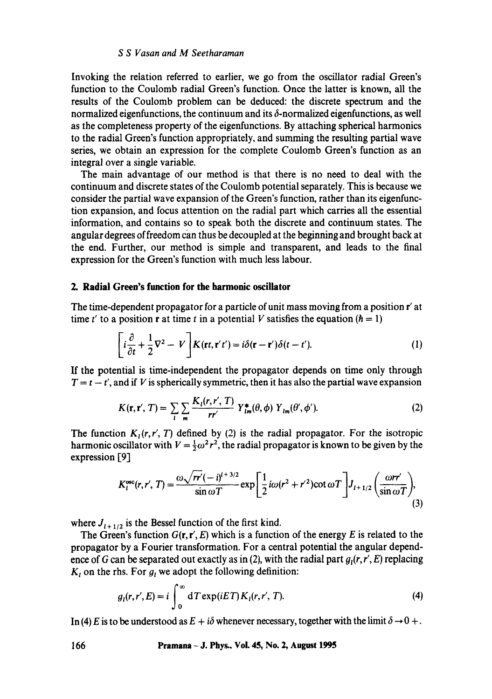Invoking the relation referred to earlier, we go from the oscillator radial Green's function to the Coulomb radial Green's function. Once the latter is known, all the results of the Coulomb problem can be deduced: the discrete spectrum and the normalized eigenfunctions, the continuum and its  $\delta$ -normalized eigenfunctions, as well as the completeness property of the eigenfunctions. By attaching spherical harmonics **to** the radial Green's function appropriately, and summing the resulting partial wave series, we obtain an expression for the complete Coulomb Green's function as an integral over a single variable.

The main advantage of our method is that there is no need to deal with the continuum and discrete states of the Coulomb potential separately. This is because we consider the partial wave expansion of the Green's function, rather than its eigenfunction expansion, and focus attention on the radial part which carries all the essential information, and contains so to speak both the discrete and continuum states. The angular degrees of freedom can thus be decoupled at the beginning and brought back at the end. Further, our method is simple and transparent, and leads to the final expression for the Green's function with much less labour.

# **2. Radial Green's function for the harmonic oscillator**

The time-dependent propagator for a particle of unit mass moving from a position r' at time t' to a position **r** at time t in a potential V satisfies the equation ( $\hbar = 1$ )

$$
\left[i\frac{\partial}{\partial t} + \frac{1}{2}\nabla^2 - V\right] K(\mathbf{r}t, \mathbf{r}'t') = i\delta(\mathbf{r} - \mathbf{r}')\delta(t - t').
$$
 (1)

If the potential is time-independent the propagator depends on time only through  $T = t - t'$ , and if V is spherically symmetric, then it has also the partial wave expansion

$$
K(\mathbf{r}, \mathbf{r}', T) = \sum_{l} \sum_{m} \frac{K_l(r, r', T)}{rr'} Y_{lm}^*(\theta, \phi) Y_{lm}(\theta', \phi'). \tag{2}
$$

The function  $K_1(r, r', T)$  defined by (2) is the radial propagator. For the isotropic harmonic oscillator with  $V = \frac{1}{2}\omega^2 r^2$ , the radial propagator is known to be given by the expression **[9]** 

$$
K_l^{\text{osc}}(r,r',T) = \frac{\omega \sqrt{rr'}(-i)^{l+3/2}}{\sin \omega T} \exp\left[\frac{1}{2}i\omega (r^2 + r'^2)\cot \omega T\right] J_{l+1/2}\left(\frac{\omega rr'}{\sin \omega T}\right),\tag{3}
$$

where  $J_{i+1/2}$  is the Bessel function of the first kind.

The Green's function  $G(\mathbf{r}, \mathbf{r}', E)$  which is a function of the energy E is related to the propagator by a Fourier transformation. For a central potential the angular dependence of G can be separated out exactly as in (2), with the radial part  $g<sub>i</sub>(r, r', E)$  replacing  $K_t$  on the rhs. For  $g_t$  we adopt the following definition:

$$
g_i(r, r', E) = i \int_0^\infty dT \exp(iET) K_i(r, r', T). \tag{4}
$$

In (4) E is to be understood as  $E + i\delta$  whenever necessary, together with the limit  $\delta \rightarrow 0 +$ .

#### **166 Pramana - J. Phys., Vol. 45, No. 2, August 1995**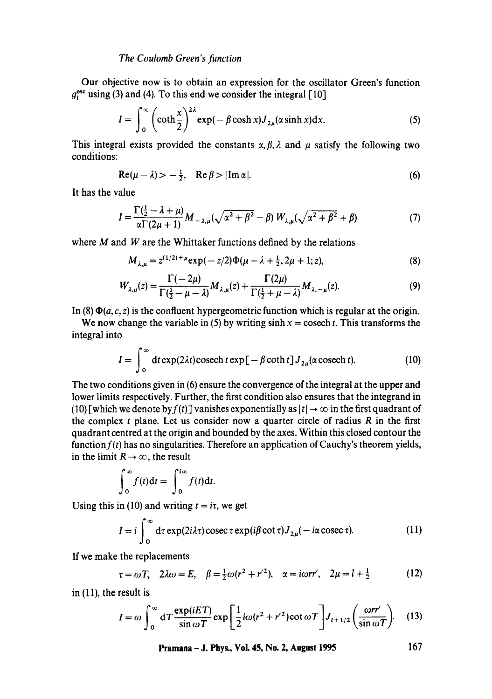#### *The Coulomb Green's function*

Our objective now is to obtain an expression for the oscillator Green's function  $g<sub>i</sub><sup>osc</sup> using (3) and (4). To this end we consider the integral [10]$ 

$$
I = \int_0^\infty \left(\coth \frac{x}{2}\right)^{2\lambda} \exp(-\beta \cosh x) J_{2\mu}(\alpha \sinh x) dx. \tag{5}
$$

This integral exists provided the constants  $\alpha, \beta, \lambda$  and  $\mu$  satisfy the following two conditions:

$$
Re(\mu - \lambda) > -\frac{1}{2}, \quad Re \beta > |Im \alpha|.
$$
 (6)

It has the value

$$
I = \frac{\Gamma(\frac{1}{2} - \lambda + \mu)}{\alpha \Gamma(2\mu + 1)} M_{-\lambda,\mu} (\sqrt{\alpha^2 + \beta^2} - \beta) W_{\lambda,\mu} (\sqrt{\alpha^2 + \beta^2} + \beta)
$$
(7)

where  $M$  and  $W$  are the Whittaker functions defined by the relations

$$
M_{\lambda,\mu} = z^{(1/2)+\mu} \exp(-z/2) \Phi(\mu - \lambda + \frac{1}{2}, 2\mu + 1; z), \tag{8}
$$

$$
W_{\lambda,\mu}(z) = \frac{\Gamma(-2\mu)}{\Gamma(\frac{1}{2}-\mu-\lambda)} M_{\lambda,\mu}(z) + \frac{\Gamma(2\mu)}{\Gamma(\frac{1}{2}+\mu-\lambda)} M_{\lambda,-\mu}(z). \tag{9}
$$

In (8)  $\Phi(a, c, z)$  is the confluent hypergeometric function which is regular at the origin.

We now change the variable in (5) by writing  $sinh x = cosech t$ . This transforms the integral into

$$
I = \int_0^\infty dt \exp(2\lambda t) \operatorname{cosech} t \exp[-\beta \coth t] J_{2\mu}(\alpha \operatorname{cosech} t). \tag{10}
$$

The two conditions given in (6) ensure the convergence of the integral at the upper and lower limits respectively. Further, the first condition also ensures that the integrand in (10) [which we denote by  $f(t)$ ] vanishes exponentially as  $|t| \rightarrow \infty$  in the first quadrant of the complex  $t$  plane. Let us consider now a quarter circle of radius  $R$  in the first quadrant centred at the origin and bounded by the axes. Within this closed contour the function  $f(t)$  has no singularities. Therefore an application of Cauchy's theorem yields, in the limit  $R \rightarrow \infty$ , the result

$$
\int_0^\infty f(t) \mathrm{d}t = \int_0^{i\infty} f(t) \mathrm{d}t.
$$

Using this in (10) and writing  $t = i\tau$ , we get

$$
I = i \int_0^\infty d\tau \exp(2i\lambda \tau) \csc \tau \exp(i\beta \cot \tau) J_{2\mu}(-i\alpha \csc \tau). \tag{11}
$$

If we make the replacements

$$
\tau = \omega T
$$
,  $2\lambda\omega = E$ ,  $\beta = \frac{1}{2}\omega (r^2 + r^2)$ ,  $\alpha = i\omega r r'$ ,  $2\mu = l + \frac{1}{2}$  (12)

in (11), the result is

$$
I = \omega \int_0^\infty dT \frac{\exp(iET)}{\sin \omega T} \exp \left[ \frac{1}{2} i \omega (r^2 + r'^2) \cot \omega T \right] J_{i+1/2} \left( \frac{\omega r r'}{\sin \omega T} \right). \tag{13}
$$

**Pramana - J. Phys., Vol. 45, No. 2, August 1995 167**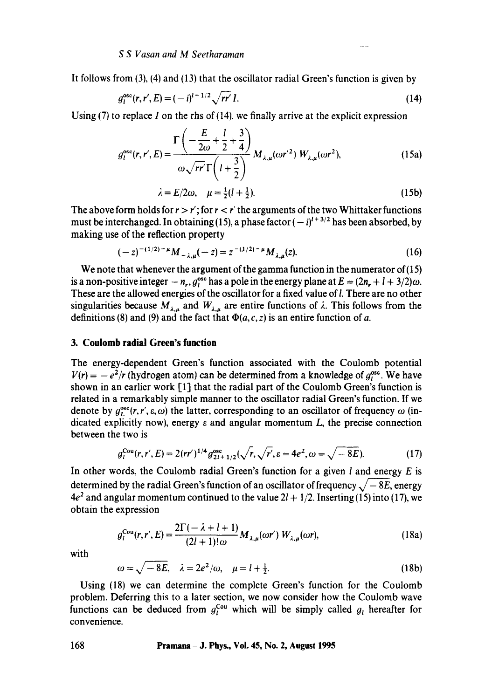It follows from (3), (4) and (13) that the oscillator radial Green's function is given by

$$
g_i^{\rm osc}(r, r', E) = (-i)^{l+1/2} \sqrt{rr'} I.
$$
 (14)

Using  $(7)$  to replace I on the rhs of  $(14)$ , we finally arrive at the explicit expression

$$
g_l^{\text{osc}}(r, r', E) = \frac{\Gamma\left(-\frac{E}{2\omega} + \frac{l}{2} + \frac{3}{4}\right)}{\omega\sqrt{rr'}\Gamma\left(l + \frac{3}{2}\right)} M_{\lambda, \mu}(\omega r^2) W_{\lambda, \mu}(\omega r^2), \tag{15a}
$$

$$
\lambda = E/2\omega, \quad \mu = \frac{1}{2}(l + \frac{1}{2}).
$$
 (15b)

The above form holds for  $r > r'$ ; for  $r < r'$  the arguments of the two Whittaker functions must be interchanged. In obtaining (15), a phase factor  $(-i)^{1+3/2}$  has been absorbed, by making use of the reflection property

$$
(-z)^{-(1/2)-\mu}M_{-\lambda,\mu}(-z) = z^{-(1/2)-\mu}M_{\lambda,\mu}(z). \tag{16}
$$

We note that whenever the argument of the gamma function in the numerator of (15) is a non-positive integer  $-n_r$ ,  $g_t^{\text{osc}}$  has a pole in the energy plane at  $E = (2n_r + 1 + 3/2)\omega$ . These are the allowed energies of the oscillator for a fixed value of I. There are no other singularities because  $M_{\lambda,\mu}$  and  $W_{\lambda,\mu}$  are entire functions of  $\lambda$ . This follows from the definitions (8) and (9) and the fact that  $\Phi(a, c, z)$  is an entire function of a.

### **3. Coulomb radial Green's function**

The energy-dependent Green's function associated with the Coulomb potential  $V(r) = -e^{2}/r$  (hydrogen atom) can be determined from a knowledge of  $g_1^{\text{osc}}$ . We have shown in an earlier work [1] that the radial part of the Coulomb Green's function is related in a remarkably simple manner to the oscillator radial Green's function. If we denote by  $g_L^{\text{osc}}(r, r', \varepsilon, \omega)$  the latter, corresponding to an oscillator of frequency  $\omega$  (indicated explicitly now), energy  $\varepsilon$  and angular momentum  $L$ , the precise connection between the two is

$$
g_l^{\text{Cou}}(r,r',E) = 2(rr')^{1/4} g_{2l+1/2}^{\text{osc}}(\sqrt{r}, \sqrt{r'}, \varepsilon = 4e^2, \omega = \sqrt{-8E}).
$$
 (17)

In other words, the Coulomb radial Green's function for a given  $l$  and energy  $E$  is determined by the radial Green's function of an oscillator of frequency  $\sqrt{-8E}$ , energy  $4e<sup>2</sup>$  and angular momentum continued to the value  $2l + 1/2$ . Inserting (15) into (17), we obtain the expression

$$
g_l^{\text{Cou}}(r,r',E) = \frac{2\Gamma(-\lambda+l+1)}{(2l+1)!\omega} M_{\lambda,\mu}(\omega r') W_{\lambda,\mu}(\omega r), \qquad (18a)
$$

with

$$
\omega = \sqrt{-8E}, \quad \lambda = 2e^2/\omega, \quad \mu = l + \frac{1}{2}.
$$
 (18b)

Using (18) we can determine the complete Green's function for the Coulomb problem. Deferring this to a later section, we now consider how the Coulomb wave functions can be deduced from  $g_l^{\text{Cou}}$  which will be simply called  $g_l$  hereafter for convenience.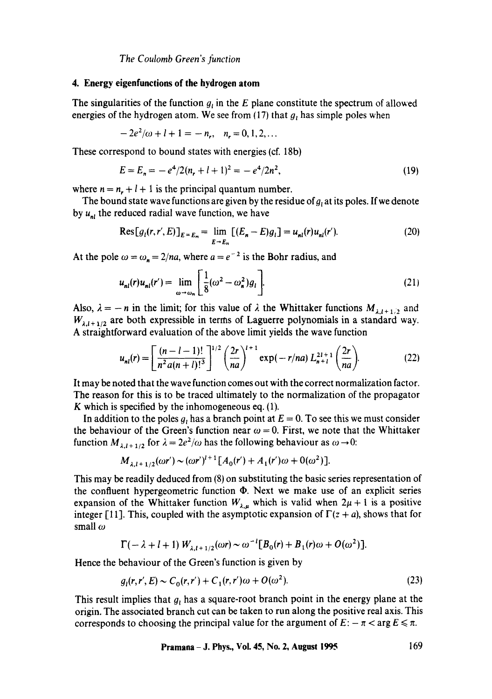*The Coulomb Green's function* 

#### **4. Energy eigenfunctions of the hydrogen atom**

The singularities of the function  $g_t$  in the E plane constitute the spectrum of allowed energies of the hydrogen atom. We see from (17) that  $g_i$  has simple poles when

$$
-2e^2/\omega + l + 1 = -n_r, \quad n_r = 0, 1, 2, \dots
$$

These correspond to bound states with energies (cf. 18b)

$$
E = E_n = -e^4/2(n_r + l + 1)^2 = -e^4/2n^2,
$$
\n(19)

where  $n = n_r + l + 1$  is the principal quantum number.

The bound state wave functions are given by the residue of  $g_t$  at its poles. If we denote by  $u_{n}$ , the reduced radial wave function, we have

$$
\text{Res}[g_i(r, r', E)]_{E=E_n} = \lim_{E \to E_n} [(E_n - E)g_i] = u_{nl}(r)u_{nl}(r'). \tag{20}
$$

At the pole  $\omega = \omega_n = 2/na$ , where  $a = e^{-2}$  is the Bohr radius, and

$$
u_{nl}(r)u_{nl}(r') = \lim_{\omega \to \omega_n} \left[ \frac{1}{8} (\omega^2 - \omega_n^2) g_l \right].
$$
 (21)

Also,  $\lambda = -n$  in the limit; for this value of  $\lambda$  the Whittaker functions  $M_{\lambda l+1/2}$  and  $W_{\lambda,i+1/2}$  are both expressible in terms of Laguerre polynomials in a standard way. A straightforward evaluation of the above limit yields the wave function

$$
u_{nl}(r) = \left[\frac{(n-l-1)!}{n^2 a (n+l)!^3}\right]^{1/2} \left(\frac{2r}{na}\right)^{l+1} \exp(-r/na) L_{n+l}^{2l+1} \left(\frac{2r}{na}\right).
$$
 (22)

It may be noted that the wave function comes out with the correct normalization factor. The reason for this is to be traced ultimately to the normalization of the propagator K which is specified by the inhomogeneous eq.  $(1)$ .

In addition to the poles g<sub>t</sub> has a branch point at  $E = 0$ . To see this we must consider the behaviour of the Green's function near  $\omega = 0$ . First, we note that the Whittaker function  $M_{\lambda l+1/2}$  for  $\lambda = 2e^2/\omega$  has the following behaviour as  $\omega \rightarrow 0$ :

$$
M_{\lambda, l+1/2}(\omega r') \sim (\omega r')^{l+1} [A_0(r') + A_1(r')\omega + O(\omega^2)].
$$

This may be readily deduced from (8) on substituting the basic series representation of the confluent hypergeometric function  $\Phi$ . Next we make use of an explicit series expansion of the Whittaker function  $W_{\lambda,\mu}$  which is valid when  $2\mu + 1$  is a positive integer [11]. This, coupled with the asymptotic expansion of  $\Gamma(z + a)$ , shows that for small  $\omega$ 

$$
\Gamma(-\lambda + l + 1) W_{\lambda, l+1/2}(\omega r) \sim \omega^{-l} [B_0(r) + B_1(r)\omega + O(\omega^2)].
$$

Hence the behaviour of the Green's function is given by

$$
g_i(r, r', E) \sim C_0(r, r') + C_1(r, r')\omega + O(\omega^2). \tag{23}
$$

This result implies that  $g_i$  has a square-root branch point in the energy plane at the origin. The associated branch cut can be taken to run along the positive real axis. This corresponds to choosing the principal value for the argument of  $E: -\pi < \arg E \leq \pi$ .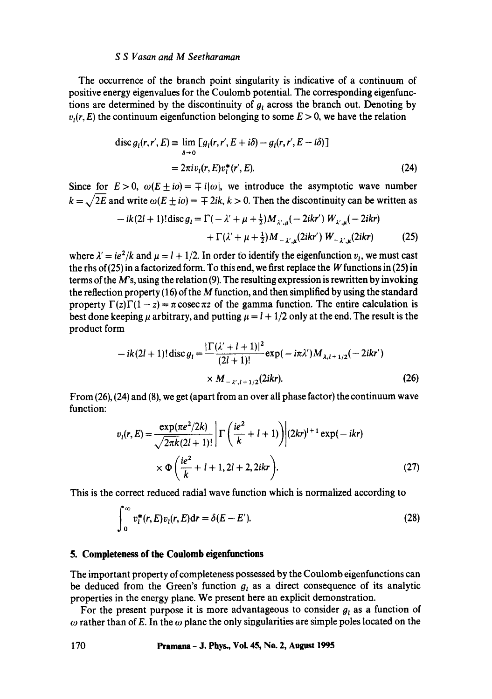The occurrence of the branch point singularity is indicative of a continuum of positive energy eigenvalues for the Coulomb potential. The corresponding eigenfunctions are determined by the discontinuity of  $g_t$  across the branch out. Denoting by  $v<sub>i</sub>(r, E)$  the continuum eigenfunction belonging to some  $E > 0$ , we have the relation

$$
\operatorname{disc} g_i(r, r', E) \equiv \lim_{\delta \to 0} \left[ g_i(r, r', E + i\delta) - g_i(r, r', E - i\delta) \right]
$$

$$
= 2\pi i v_i(r, E) v_i^*(r', E). \tag{24}
$$

Since for  $E>0$ ,  $\omega(E\pm i\omega)=\pm i|\omega|$ , we introduce the asymptotic wave number  $k = \sqrt{2E}$  and write  $\omega(E \pm i\omega) = \pm 2ik$ ,  $k > 0$ . Then the discontinuity can be written as

$$
-ik(2l+1)!\operatorname{disc} g_{l} = \Gamma(-\lambda' + \mu + \frac{1}{2})M_{\lambda',\mu}(-2ikr') W_{\lambda',\mu}(-2ikr)
$$

$$
+ \Gamma(\lambda' + \mu + \frac{1}{2})M_{-\lambda',\mu}(2ikr') W_{-\lambda',\mu}(2ikr)
$$
(25)

where  $\lambda' = ie^2/k$  and  $\mu = l + 1/2$ . In order to identify the eigenfunction  $v_i$ , we must cast the rhs of (25) in a factorized form. To this end, we first replace the W functions in (25) in terms of the  $M$ 's, using the relation (9). The resulting expression is rewritten by invoking the reflection property (16) of the  $M$  function, and then simplified by using the standard property  $\Gamma(z)\Gamma(1-z) = \pi \csc \pi z$  of the gamma function. The entire calculation is best done keeping  $\mu$  arbitrary, and putting  $\mu = l + 1/2$  only at the end. The result is the product form

$$
-ik(2l+1)!\operatorname{disc} g_{l} = \frac{|\Gamma(\lambda'+l+1)|^{2}}{(2l+1)!} \exp(-i\pi\lambda')M_{\lambda,l+1/2}(-2ikr')
$$
  
× M<sub>-\lambda',l+1/2</sub>(2ikr). (26)

From (26), (24) and (8), we get (apart from an over all phase factor) the continuum wave function:

$$
v_{l}(r, E) = \frac{\exp(\pi e^{2}/2k)}{\sqrt{2\pi k}(2l+1)!} \left[ \Gamma\left(\frac{ie^{2}}{k} + l+1\right) \right] (2kr)^{l+1} \exp(-ikr)
$$
  
 
$$
\times \Phi\left(\frac{ie^{2}}{k} + l+1, 2l+2, 2ikr\right).
$$
 (27)

This is the correct reduced radial wave function which is normalized according **to** 

$$
\int_0^\infty v_l^*(r, E)v_l(r, E)dr = \delta(E - E'). \tag{28}
$$

### **5. Completeness of the Coulomb eigenfunctions**

The important property of completeness possessed by the Coulomb eigenfunctions can be deduced from the Green's function  $g_i$  as a direct consequence of its analytic properties in the energy plane. We present here an explicit demonstration.

For the present purpose it is more advantageous to consider  $g_i$  as a function of  $\omega$  rather than of E. In the  $\omega$  plane the only singularities are simple poles located on the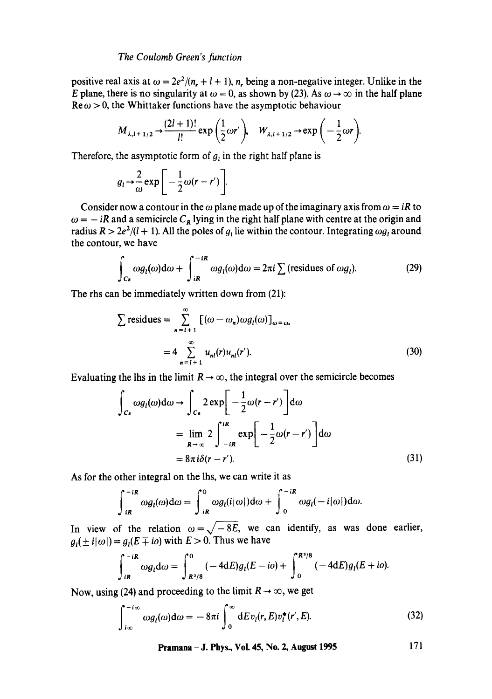### *The Coulomb Green's function*

positive real axis at  $\omega = \frac{2e^2}{n_r} + l + 1$ , n, being a non-negative integer. Unlike in the E plane, there is no singularity at  $\omega = 0$ , as shown by (23). As  $\omega \rightarrow \infty$  in the half plane  $\text{Re}\,\omega > 0$ , the Whittaker functions have the asymptotic behaviour

$$
M_{\lambda,l+1/2} \rightarrow \frac{(2l+1)!}{l!} \exp\left(\frac{1}{2}\omega r'\right), \quad W_{\lambda,l+1/2} \rightarrow \exp\left(-\frac{1}{2}\omega r\right).
$$

Therefore, the asymptotic form of  $g_i$  in the right half plane is

$$
g_l \rightarrow \frac{2}{\omega} \exp\bigg[-\frac{1}{2}\omega(r-r')\bigg].
$$

Consider now a contour in the  $\omega$  plane made up of the imaginary axis from  $\omega = iR$  to  $\omega = -iR$  and a semicircle  $C_R$  lying in the right half plane with centre at the origin and radius  $R > 2e^2/(l + 1)$ . All the poles of  $g_l$  lie within the contour. Integrating  $\omega g_l$  around the contour, we have

$$
\int_{C_R} \omega g_l(\omega) d\omega + \int_{iR}^{-iR} \omega g_l(\omega) d\omega = 2\pi i \sum \text{(residues of } \omega g_l). \tag{29}
$$

The rhs can be immediately written down from (21):

$$
\sum \text{residues} = \sum_{n=1+1}^{\infty} \left[ (\omega - \omega_n) \omega g_l(\omega) \right]_{\omega = \omega_n}
$$

$$
= 4 \sum_{n=1+1}^{\infty} u_{nl}(r) u_{nl}(r'). \tag{30}
$$

Evaluating the lhs in the limit  $R \to \infty$ , the integral over the semicircle becomes

$$
\int_{C_{R}} \omega g_{l}(\omega) d\omega \to \int_{C_{R}} 2 \exp\left[-\frac{1}{2}\omega(r-r')\right] d\omega
$$
  
= 
$$
\lim_{R \to \infty} 2 \int_{-iR}^{iR} \exp\left[-\frac{1}{2}\omega(r-r')\right] d\omega
$$
  
= 
$$
8\pi i \delta(r-r').
$$
 (31)

As for the other integral on the lhs, we can write it as

$$
\int_{iR}^{-iR} \omega g_i(\omega) d\omega = \int_{iR}^{0} \omega g_i(i|\omega|) d\omega + \int_{0}^{-iR} \omega g_i(-i|\omega|) d\omega.
$$

In view of the relation  $\omega = \sqrt{-8E}$ , we can identify, as was done earlier,  $g_i(\pm i|\omega|) = g_i(E \mp i\omega)$  with  $E > 0$ . Thus we have

$$
\int_{iR}^{-iR} \omega g_l d\omega = \int_{R^2/8}^{0} (-4dE) g_l(E - i\omega) + \int_{0}^{R^2/8} (-4dE) g_l(E + i\omega).
$$

Now, using (24) and proceeding to the limit  $R\rightarrow\infty$ , we get

$$
\int_{i\infty}^{-i\infty} \omega g_l(\omega) d\omega = -8\pi i \int_0^\infty dE v_l(r, E) v_l^*(r', E). \tag{32}
$$

**Pramana - J. Phys., Vol. 45, No. 2, August 1995 171**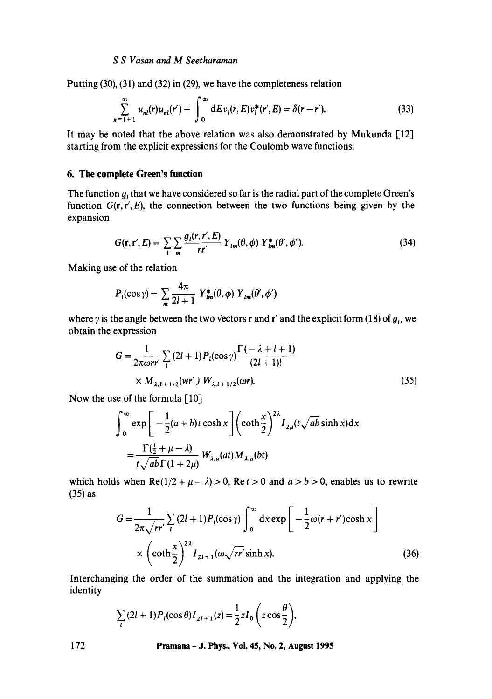Putting (30), (31) and (32) in (29), we have the completeness relation

$$
\sum_{n=1+1}^{\infty} u_{nl}(r)u_{nl}(r') + \int_{0}^{\infty} dE v_l(r, E) v_l^*(r', E) = \delta(r - r'). \tag{33}
$$

It may be noted that the above relation was also demonstrated by Mukunda [12] starting from the explicit expressions for the Coulomb wave functions.

### 6. The complete Green's **function**

The function  $q_i$ , that we have considered so far is the radial part of the complete Green's function  $G(\mathbf{r}, \mathbf{r}', E)$ , the connection between the two functions being given by the expansion

$$
G(\mathbf{r}, \mathbf{r}', E) = \sum_{l} \sum_{m} \frac{g_l(\mathbf{r}, \mathbf{r}', E)}{r r'} Y_{lm}(\theta, \phi) Y_{lm}^*(\theta', \phi'). \tag{34}
$$

Making use of the relation

$$
P_l(\cos\gamma) = \sum_{m} \frac{4\pi}{2l+1} Y_{lm}^*(\theta,\phi) Y_{lm}(\theta',\phi')
$$

where y is the angle between the two vectors **r** and **r'** and the explicit form (18) of  $g<sub>i</sub>$ , we obtain the expression

$$
G = \frac{1}{2\pi\omega r r'} \sum_{i} (2l+1) P_{i}(\cos\gamma) \frac{\Gamma(-\lambda + l + 1)}{(2l+1)!}
$$
  
×  $M_{\lambda, l+1/2}(wr') W_{\lambda, l+1/2}(\omega r)$ . (35)

Now the use of the formula [10]

$$
\int_0^\infty \exp\left[-\frac{1}{2}(a+b)t\cosh x\right] \left(\coth\frac{x}{2}\right)^{2\lambda} I_{2\mu}(t\sqrt{ab}\sinh x) dx
$$
  
= 
$$
\frac{\Gamma(\frac{1}{2}+\mu-\lambda)}{t\sqrt{ab}\Gamma(1+2\mu)} W_{\lambda,\mu}(at) M_{\lambda,\mu}(bt)
$$

which holds when  $\text{Re}(1/2 + \mu - \lambda) > 0$ ,  $\text{Re} t > 0$  and  $a > b > 0$ , enables us to rewrite (35) as

$$
G = \frac{1}{2\pi\sqrt{rr'}}\sum_{l} (2l+1)P_l(\cos\gamma)\int_0^\infty dx \exp\left[-\frac{1}{2}\omega(r+r')\cosh x\right]
$$

$$
\times \left(\coth\frac{x}{2}\right)^{2\lambda} I_{2l+1}(\omega\sqrt{rr'}\sinh x). \tag{36}
$$

Interchanging the order of the summation and the integration and applying the

identity  
\n
$$
\sum_{l} (2l+1) P_l(\cos \theta) I_{2l+1}(z) = \frac{1}{2} z I_0 \left( z \cos \frac{\theta}{2} \right),
$$

172 Pramana - J. Phys., Voi. 45, No. 2, August 1995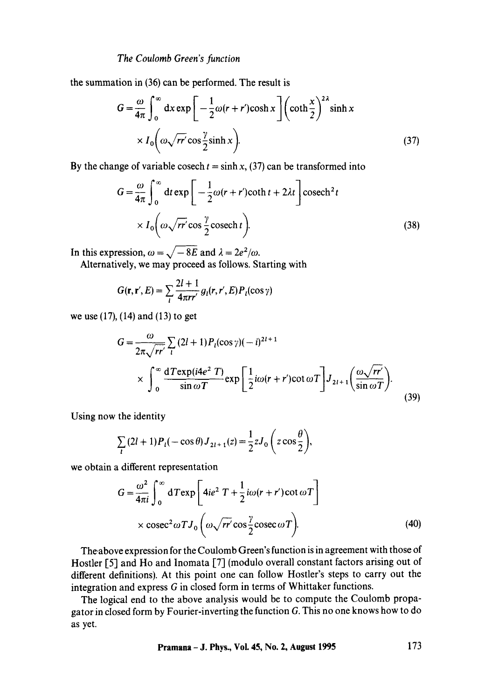the summation in (36) can be performed. The result is

$$
G = \frac{\omega}{4\pi} \int_0^\infty dx \exp\left[-\frac{1}{2}\omega(r+r')\cosh x\right] \left(\coth \frac{x}{2}\right)^{2\lambda} \sinh x
$$

$$
\times I_0\left(\omega\sqrt{rr'}\cos\frac{\gamma}{2}\sinh x\right).
$$
(37)

By the change of variable cosech  $t = \sinh x$ , (37) can be transformed into

$$
G = \frac{\omega}{4\pi} \int_0^\infty dt \exp\left[-\frac{1}{2}\omega(r+r)\coth t + 2\lambda t\right] \csc^2 t
$$
  
 
$$
\times I_0 \left(\omega \sqrt{rr'} \cos \frac{\gamma}{2} \csc^2 t\right).
$$
 (38)

In this expression,  $\omega = \sqrt{-8E}$  and  $\lambda = 2e^2/\omega$ .

Alternatively, we may proceed as follows. Starting with

$$
G(\mathbf{r}, \mathbf{r}', E) = \sum_{l} \frac{2l+1}{4\pi rr'} g_l(r, r', E) P_l(\cos \gamma)
$$

we use (17), (14) and (13) to get

$$
G = \frac{\omega}{2\pi\sqrt{rr'}} \sum_{l} (2l+1) P_l(\cos\gamma)(-i)^{2l+1}
$$
  
 
$$
\times \int_0^\infty \frac{dT \exp(i4e^2 T)}{\sin\omega T} \exp\left[\frac{1}{2}i\omega(r+r')\cot\omega T\right] J_{2l+1}\left(\frac{\omega\sqrt{rr'}}{\sin\omega T}\right).
$$
 (39)

Using now the identity  $\blacksquare$ 

$$
\sum_{l} (2l+1) P_l(-\cos\theta) J_{2l+1}(z) = \frac{1}{2} z J_0 \left( z \cos\frac{\theta}{2} \right),
$$

we obtain a different representation

$$
G = \frac{\omega^2}{4\pi i} \int_0^\infty dT \exp\left[4ie^2 T + \frac{1}{2}i\omega(r+r')\cot\omega T\right]
$$
  
 
$$
\times \csc^2 \omega T J_0 \left(\omega \sqrt{rr'}\cos\frac{\gamma}{2}\csc\omega T\right).
$$
 (40)

The above expression for the Coulomb Green's function is in agreement with those of Hostler [5] and Ho and Inomata [7] (modulo overall constant factors arising out of different definitions). At this point one can follow Hostler's steps to carry out the integration and express G in closed form in terms of Whittaker functions.

The logical end to the above analysis would be to compute the Coulomb propagator in closed form by Fourier-inverting the function G. This no one knows how to do as yet.